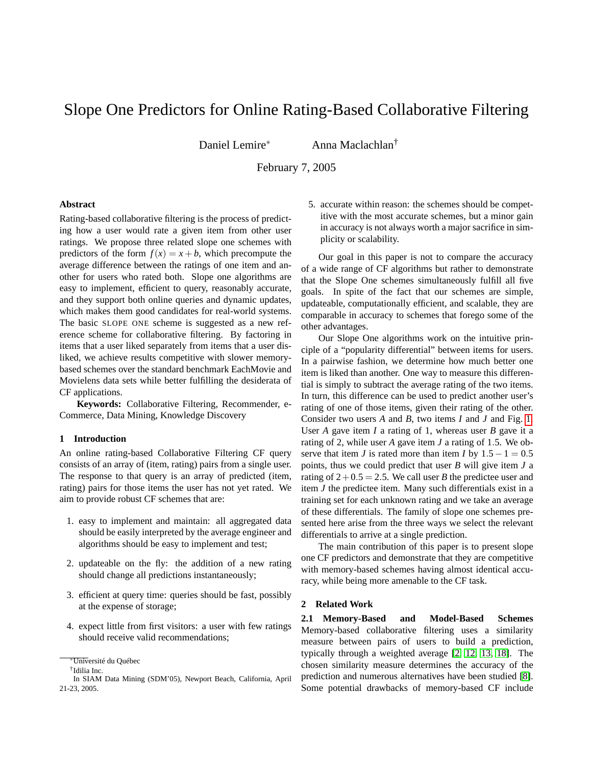# Slope One Predictors for Online Rating-Based Collaborative Filtering

Daniel Lemire<sup>∗</sup> Anna Maclachlan<sup>†</sup>

February 7, 2005

## **Abstract**

Rating-based collaborative filtering is the process of predicting how a user would rate a given item from other user ratings. We propose three related slope one schemes with predictors of the form  $f(x) = x + b$ , which precompute the average difference between the ratings of one item and another for users who rated both. Slope one algorithms are easy to implement, efficient to query, reasonably accurate, and they support both online queries and dynamic updates, which makes them good candidates for real-world systems. The basic SLOPE ONE scheme is suggested as a new reference scheme for collaborative filtering. By factoring in items that a user liked separately from items that a user disliked, we achieve results competitive with slower memorybased schemes over the standard benchmark EachMovie and Movielens data sets while better fulfilling the desiderata of CF applications.

**Keywords:** Collaborative Filtering, Recommender, e-Commerce, Data Mining, Knowledge Discovery

#### **1 Introduction**

An online rating-based Collaborative Filtering CF query consists of an array of (item, rating) pairs from a single user. The response to that query is an array of predicted (item, rating) pairs for those items the user has not yet rated. We aim to provide robust CF schemes that are:

- 1. easy to implement and maintain: all aggregated data should be easily interpreted by the average engineer and algorithms should be easy to implement and test;
- 2. updateable on the fly: the addition of a new rating should change all predictions instantaneously;
- 3. efficient at query time: queries should be fast, possibly at the expense of storage;
- 4. expect little from first visitors: a user with few ratings should receive valid recommendations;

5. accurate within reason: the schemes should be competitive with the most accurate schemes, but a minor gain in accuracy is not always worth a major sacrifice in simplicity or scalability.

Our goal in this paper is not to compare the accuracy of a wide range of CF algorithms but rather to demonstrate that the Slope One schemes simultaneously fulfill all five goals. In spite of the fact that our schemes are simple, updateable, computationally efficient, and scalable, they are comparable in accuracy to schemes that forego some of the other advantages.

Our Slope One algorithms work on the intuitive principle of a "popularity differential" between items for users. In a pairwise fashion, we determine how much better one item is liked than another. One way to measure this differential is simply to subtract the average rating of the two items. In turn, this difference can be used to predict another user's rating of one of those items, given their rating of the other. Consider two users *A* and *B*, two items *I* and *J* and Fig. [1.](#page-1-0) User *A* gave item *I* a rating of 1, whereas user *B* gave it a rating of 2, while user *A* gave item *J* a rating of 1.5. We observe that item *J* is rated more than item *I* by  $1.5 - 1 = 0.5$ points, thus we could predict that user *B* will give item *J* a rating of  $2+0.5 = 2.5$ . We call user *B* the predictee user and item *J* the predictee item. Many such differentials exist in a training set for each unknown rating and we take an average of these differentials. The family of slope one schemes presented here arise from the three ways we select the relevant differentials to arrive at a single prediction.

The main contribution of this paper is to present slope one CF predictors and demonstrate that they are competitive with memory-based schemes having almost identical accuracy, while being more amenable to the CF task.

#### **2 Related Work**

**2.1 Memory-Based and Model-Based Schemes** Memory-based collaborative filtering uses a similarity measure between pairs of users to build a prediction, typically through a weighted average [\[2,](#page-4-0) [12,](#page-4-1) [13,](#page-4-2) [18\]](#page-4-3). The chosen similarity measure determines the accuracy of the prediction and numerous alternatives have been studied [\[8\]](#page-4-4). Some potential drawbacks of memory-based CF include

<sup>∗</sup>Université du Québec

<sup>†</sup> Idilia Inc.

In SIAM Data Mining (SDM'05), Newport Beach, California, April 21-23, 2005.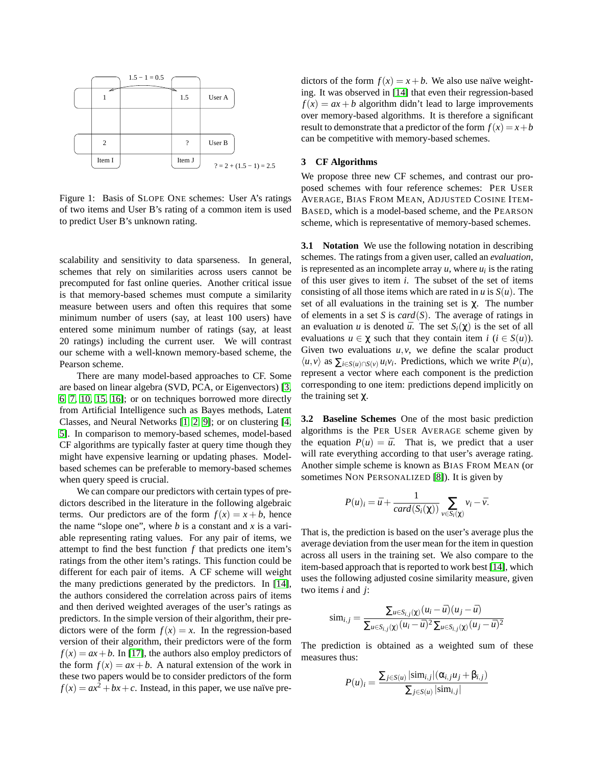

<span id="page-1-0"></span>Figure 1: Basis of SLOPE ONE schemes: User A's ratings of two items and User B's rating of a common item is used to predict User B's unknown rating.

scalability and sensitivity to data sparseness. In general, schemes that rely on similarities across users cannot be precomputed for fast online queries. Another critical issue is that memory-based schemes must compute a similarity measure between users and often this requires that some minimum number of users (say, at least 100 users) have entered some minimum number of ratings (say, at least 20 ratings) including the current user. We will contrast our scheme with a well-known memory-based scheme, the Pearson scheme.

There are many model-based approaches to CF. Some are based on linear algebra (SVD, PCA, or Eigenvectors) [\[3,](#page-4-5) [6,](#page-4-6) [7,](#page-4-7) [10,](#page-4-8) [15,](#page-4-9) [16\]](#page-4-10); or on techniques borrowed more directly from Artificial Intelligence such as Bayes methods, Latent Classes, and Neural Networks [\[1,](#page-4-11) [2,](#page-4-0) [9\]](#page-4-12); or on clustering [\[4,](#page-4-13) [5\]](#page-4-14). In comparison to memory-based schemes, model-based CF algorithms are typically faster at query time though they might have expensive learning or updating phases. Modelbased schemes can be preferable to memory-based schemes when query speed is crucial.

We can compare our predictors with certain types of predictors described in the literature in the following algebraic terms. Our predictors are of the form  $f(x) = x + b$ , hence the name "slope one", where  $b$  is a constant and  $x$  is a variable representing rating values. For any pair of items, we attempt to find the best function *f* that predicts one item's ratings from the other item's ratings. This function could be different for each pair of items. A CF scheme will weight the many predictions generated by the predictors. In [\[14\]](#page-4-15), the authors considered the correlation across pairs of items and then derived weighted averages of the user's ratings as predictors. In the simple version of their algorithm, their predictors were of the form  $f(x) = x$ . In the regression-based version of their algorithm, their predictors were of the form  $f(x) = ax + b$ . In [\[17\]](#page-4-16), the authors also employ predictors of the form  $f(x) = ax + b$ . A natural extension of the work in these two papers would be to consider predictors of the form  $f(x) = ax^2 + bx + c$ . Instead, in this paper, we use naïve pre-

dictors of the form  $f(x) = x + b$ . We also use naïve weighting. It was observed in [\[14\]](#page-4-15) that even their regression-based  $f(x) = ax + b$  algorithm didn't lead to large improvements over memory-based algorithms. It is therefore a significant result to demonstrate that a predictor of the form  $f(x) = x + b$ can be competitive with memory-based schemes.

#### **3 CF Algorithms**

We propose three new CF schemes, and contrast our proposed schemes with four reference schemes: PER USER AVERAGE, BIAS FROM MEAN, ADJUSTED COSINE ITEM-BASED, which is a model-based scheme, and the PEARSON scheme, which is representative of memory-based schemes.

**3.1 Notation** We use the following notation in describing schemes. The ratings from a given user, called an *evaluation*, is represented as an incomplete array  $u$ , where  $u_i$  is the rating of this user gives to item *i*. The subset of the set of items consisting of all those items which are rated in  $u$  is  $S(u)$ . The set of all evaluations in the training set is  $\chi$ . The number of elements in a set *S* is *card*(*S*). The average of ratings in an evaluation *u* is denoted  $\bar{u}$ . The set *S*<sub>*i*</sub>( $\chi$ ) is the set of all evaluations  $u \in \chi$  such that they contain item  $i$  ( $i \in S(u)$ ). Given two evaluations  $u, v$ , we define the scalar product  $\langle u, v \rangle$  as  $\sum_{i \in S(u) \cap S(v)} u_i v_i$ . Predictions, which we write  $P(u)$ , represent a vector where each component is the prediction corresponding to one item: predictions depend implicitly on the training set χ.

<span id="page-1-1"></span>**3.2 Baseline Schemes** One of the most basic prediction algorithms is the PER USER AVERAGE scheme given by the equation  $P(u) = \bar{u}$ . That is, we predict that a user will rate everything according to that user's average rating. Another simple scheme is known as BIAS FROM MEAN (or sometimes NON PERSONALIZED [\[8\]](#page-4-4)). It is given by

$$
P(u)_i = \bar{u} + \frac{1}{card(S_i(\chi))} \sum_{v \in S_i(\chi)} v_i - \bar{v}.
$$

That is, the prediction is based on the user's average plus the average deviation from the user mean for the item in question across all users in the training set. We also compare to the item-based approach that is reported to work best [\[14\]](#page-4-15), which uses the following adjusted cosine similarity measure, given two items *i* and *j*:

$$
sim_{i,j} = \frac{\sum_{u \in S_{i,j}(\chi)} (u_i - \bar{u})(u_j - \bar{u})}{\sum_{u \in S_{i,j}(\chi)} (u_i - \bar{u})^2 \sum_{u \in S_{i,j}(\chi)} (u_j - \bar{u})^2}
$$

The prediction is obtained as a weighted sum of these measures thus:

$$
P(u)_i = \frac{\sum_{j \in S(u)} |\text{sim}_{i,j}|(\alpha_{i,j}u_j + \beta_{i,j})}{\sum_{j \in S(u)} |\text{sim}_{i,j}|}
$$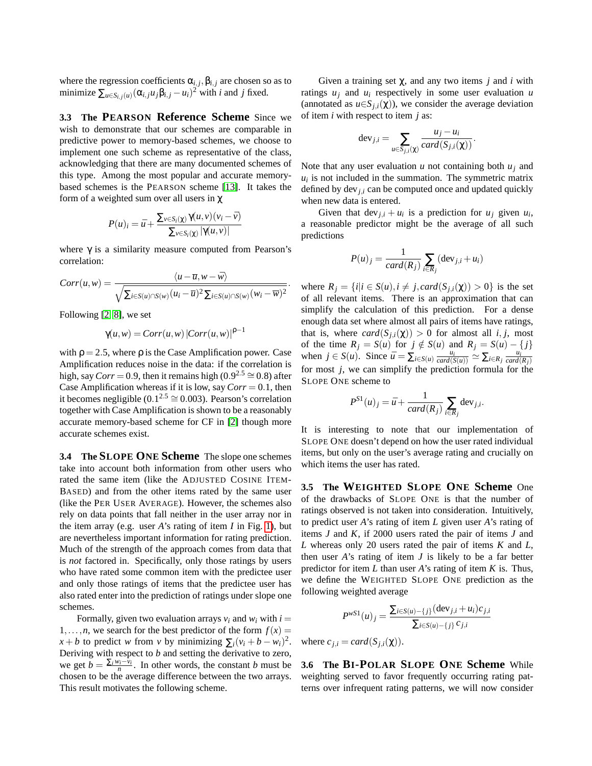where the regression coefficients  $\alpha_{i,j}$ ,  $\beta_{i,j}$  are chosen so as to minimize  $\sum_{u \in S_{i,j}(u)} (\alpha_{i,j} u_j \beta_{i,j} - u_i)^2$  with *i* and *j* fixed.

**3.3 The PEARSON Reference Scheme** Since we wish to demonstrate that our schemes are comparable in predictive power to memory-based schemes, we choose to implement one such scheme as representative of the class, acknowledging that there are many documented schemes of this type. Among the most popular and accurate memorybased schemes is the PEARSON scheme [\[13\]](#page-4-2). It takes the form of a weighted sum over all users in  $\chi$ 

$$
P(u)_i = \bar{u} + \frac{\sum_{v \in S_i(\chi)} \gamma(u, v)(v_i - \bar{v})}{\sum_{v \in S_i(\chi)} |\gamma(u, v)|}
$$

where  $\gamma$  is a similarity measure computed from Pearson's correlation:

$$
Corr(u, w) = \frac{\langle u - \overline{u}, w - \overline{w} \rangle}{\sqrt{\sum_{i \in S(u) \cap S(w)} (u_i - \overline{u})^2 \sum_{i \in S(u) \cap S(w)} (w_i - \overline{w})^2}}
$$

.

Following [\[2,](#page-4-0) [8\]](#page-4-4), we set

$$
\gamma(u, w) = Corr(u, w) |Corr(u, w)|^{\rho - 1}
$$

with  $\rho = 2.5$ , where  $\rho$  is the Case Amplification power. Case Amplification reduces noise in the data: if the correlation is high, say  $Corr = 0.9$ , then it remains high ( $0.9^{2.5} \approx 0.8$ ) after Case Amplification whereas if it is low, say  $Corr = 0.1$ , then it becomes negligible (0.1<sup>2.5</sup>  $\cong$  0.003). Pearson's correlation together with Case Amplification is shown to be a reasonably accurate memory-based scheme for CF in [\[2\]](#page-4-0) though more accurate schemes exist.

<span id="page-2-0"></span>**3.4 The SLOPE ONE Scheme** The slope one schemes take into account both information from other users who rated the same item (like the ADJUSTED COSINE ITEM-BASED) and from the other items rated by the same user (like the PER USER AVERAGE). However, the schemes also rely on data points that fall neither in the user array nor in the item array (e.g. user *A*'s rating of item *I* in Fig. [1\)](#page-1-0), but are nevertheless important information for rating prediction. Much of the strength of the approach comes from data that is *not* factored in. Specifically, only those ratings by users who have rated some common item with the predictee user and only those ratings of items that the predictee user has also rated enter into the prediction of ratings under slope one schemes.

Formally, given two evaluation arrays  $v_i$  and  $w_i$  with  $i =$ 1,...,*n*, we search for the best predictor of the form  $f(x) =$  $x + b$  to predict *w* from *v* by minimizing  $\sum_i (v_i + b - w_i)^2$ . Deriving with respect to *b* and setting the derivative to zero, we get  $b = \frac{\sum_i w_i - \hat{v}_i}{n}$ . In other words, the constant *b* must be chosen to be the average difference between the two arrays. This result motivates the following scheme.

Given a training set χ, and any two items *j* and *i* with ratings  $u_i$  and  $u_i$  respectively in some user evaluation  $u_i$ (annotated as  $u \in S_{j,i}(\chi)$ ), we consider the average deviation of item *i* with respect to item *j* as:

$$
dev_{j,i} = \sum_{u \in S_{j,i}(\chi)} \frac{u_j - u_i}{card(S_{j,i}(\chi))}.
$$

Note that any user evaluation  $u$  not containing both  $u_i$  and  $u_i$  is not included in the summation. The symmetric matrix defined by  $dev_{j,i}$  can be computed once and updated quickly when new data is entered.

Given that  $dev_{j,i} + u_i$  is a prediction for  $u_j$  given  $u_i$ , a reasonable predictor might be the average of all such predictions

$$
P(u)_j = \frac{1}{card(R_j)} \sum_{i \in R_j} (dev_{j,i} + u_i)
$$

where  $R_j = \{i | i \in S(u), i \neq j, \text{card}(S_{j,i}(\chi)) > 0\}$  is the set of all relevant items. There is an approximation that can simplify the calculation of this prediction. For a dense enough data set where almost all pairs of items have ratings, that is, where  $card(S_{i,i}(\chi)) > 0$  for almost all *i*, *j*, most of the time  $R_j = S(u)$  for  $j \notin S(u)$  and  $R_j = S(u) - \{j\}$ when  $j \in S(u)$ . Since  $\bar{u} = \sum_{i \in S(u)} \frac{u_i}{card(S(u))} \simeq \sum_{i \in R_j} \frac{u_i}{card(S(u))}$ *card*(*Rj*) for most *j*, we can simplify the prediction formula for the SLOPE ONE scheme to

$$
P^{S1}(u)_j = \bar{u} + \frac{1}{card(R_j)} \sum_{i \in R_j} dev_{j,i}.
$$

It is interesting to note that our implementation of SLOPE ONE doesn't depend on how the user rated individual items, but only on the user's average rating and crucially on which items the user has rated.

<span id="page-2-1"></span>**3.5 The WEIGHTED SLOPE ONE Scheme** One of the drawbacks of SLOPE ONE is that the number of ratings observed is not taken into consideration. Intuitively, to predict user *A*'s rating of item *L* given user *A*'s rating of items *J* and *K*, if 2000 users rated the pair of items *J* and *L* whereas only 20 users rated the pair of items *K* and *L*, then user *A*'s rating of item *J* is likely to be a far better predictor for item *L* than user *A*'s rating of item *K* is. Thus, we define the WEIGHTED SLOPE ONE prediction as the following weighted average

$$
P^{wS1}(u)_j = \frac{\sum_{i \in S(u) - \{j\}} (\text{dev}_{j,i} + u_i) c_{j,i}}{\sum_{i \in S(u) - \{j\}} c_{j,i}}
$$

where  $c_{j,i} = card(S_{j,i}(\chi))$ .

<span id="page-2-2"></span>**3.6 The BI-POLAR SLOPE ONE Scheme** While weighting served to favor frequently occurring rating patterns over infrequent rating patterns, we will now consider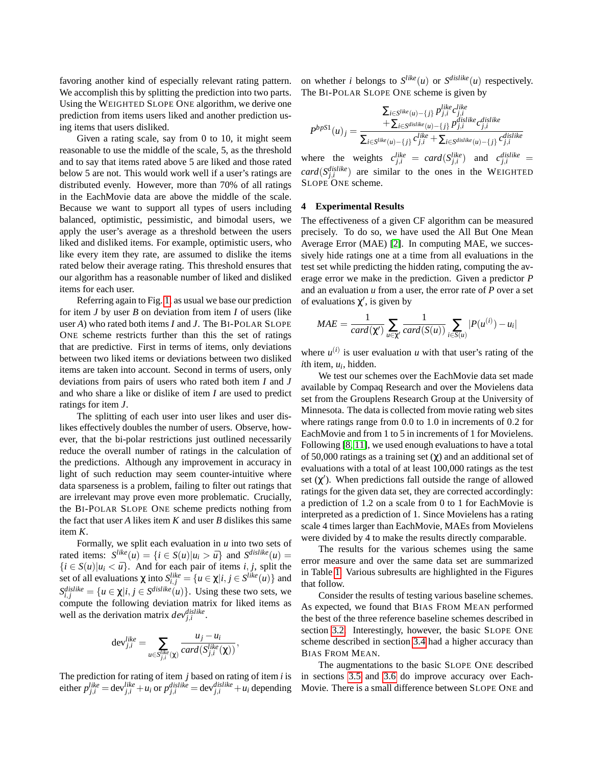favoring another kind of especially relevant rating pattern. We accomplish this by splitting the prediction into two parts. Using the WEIGHTED SLOPE ONE algorithm, we derive one prediction from items users liked and another prediction using items that users disliked.

Given a rating scale, say from 0 to 10, it might seem reasonable to use the middle of the scale, 5, as the threshold and to say that items rated above 5 are liked and those rated below 5 are not. This would work well if a user's ratings are distributed evenly. However, more than 70% of all ratings in the EachMovie data are above the middle of the scale. Because we want to support all types of users including balanced, optimistic, pessimistic, and bimodal users, we apply the user's average as a threshold between the users liked and disliked items. For example, optimistic users, who like every item they rate, are assumed to dislike the items rated below their average rating. This threshold ensures that our algorithm has a reasonable number of liked and disliked items for each user.

Referring again to Fig. [1,](#page-1-0) as usual we base our prediction for item *J* by user *B* on deviation from item *I* of users (like user *A*) who rated both items *I* and *J*. The BI-POLAR SLOPE ONE scheme restricts further than this the set of ratings that are predictive. First in terms of items, only deviations between two liked items or deviations between two disliked items are taken into account. Second in terms of users, only deviations from pairs of users who rated both item *I* and *J* and who share a like or dislike of item *I* are used to predict ratings for item *J*.

The splitting of each user into user likes and user dislikes effectively doubles the number of users. Observe, however, that the bi-polar restrictions just outlined necessarily reduce the overall number of ratings in the calculation of the predictions. Although any improvement in accuracy in light of such reduction may seem counter-intuitive where data sparseness is a problem, failing to filter out ratings that are irrelevant may prove even more problematic. Crucially, the BI-POLAR SLOPE ONE scheme predicts nothing from the fact that user *A* likes item *K* and user *B* dislikes this same item *K*.

Formally, we split each evaluation in *u* into two sets of rated items:  $S^{like}(u) = \{i \in S(u) | u_i > \bar{u} \}$  and  $S^{dislike}(u) =$  ${i \in S(u)|u_i < \bar{u}}$ . And for each pair of items *i*, *j*, split the set of all evaluations  $\chi$  into  $S_{i,j}^{like} = \{u \in \chi | i, j \in S^{like}(u)\}$  and  $S_{i,j}^{dislike} = \{u \in \chi | i, j \in S^{dislike}(u)\}\.$  Using these two sets, we compute the following deviation matrix for liked items as well as the derivation matrix  $dev_{j,i}^{dislike}$ .

$$
\mathrm{dev}_{j,i}^{like} = \sum_{u \in S_{j,i}^{like}(\chi)} \frac{u_j - u_i}{card(S_{j,i}^{like}(\chi))},
$$

The prediction for rating of item *j* based on rating of item *i* is  $\text{either } p_{j,i}^{like} = \text{dev}_{j,i}^{like} + u_i \text{ or } p_{j,i}^{dislike} = \text{dev}_{j,i}^{dislike} + u_i \text{ depending}$ 

on whether *i* belongs to  $S^{like}(u)$  or  $S^{dislike}(u)$  respectively. The BI-POLAR SLOPE ONE scheme is given by

$$
P^{b p S1}(u)_{j} = \frac{\sum_{i \in S^{like}(u) - \{j\}} p_{j,i}^{like} c_{j,i}^{like}}{\sum_{i \in S^{like}(u) - \{j\}} c_{j,i}^{disk} + \sum_{i \in S^{disk}(u) - \{j\}} c_{j,i}^{like} + \sum_{i \in S^{disk}(u) - \{j\}} c_{j,i}^{disk}}
$$

where the weights  $c_{j,i}^{like} = card(S_{j,i}^{like})$  and  $c_{j,i}^{dislike} =$  $card(S_{j,i}^{dislike})$  are similar to the ones in the WEIGHTED SLOPE ONE scheme.

### **4 Experimental Results**

The effectiveness of a given CF algorithm can be measured precisely. To do so, we have used the All But One Mean Average Error (MAE) [\[2\]](#page-4-0). In computing MAE, we successively hide ratings one at a time from all evaluations in the test set while predicting the hidden rating, computing the average error we make in the prediction. Given a predictor *P* and an evaluation *u* from a user, the error rate of *P* over a set of evaluations  $\chi'$ , is given by

$$
MAE = \frac{1}{card(\chi')} \sum_{u \in \chi'} \frac{1}{card(S(u))} \sum_{i \in S(u)} |P(u^{(i)}) - u_i|
$$

where  $u^{(i)}$  is user evaluation *u* with that user's rating of the *i*th item, *u<sup>i</sup>* , hidden.

We test our schemes over the EachMovie data set made available by Compaq Research and over the Movielens data set from the Grouplens Research Group at the University of Minnesota. The data is collected from movie rating web sites where ratings range from 0.0 to 1.0 in increments of 0.2 for EachMovie and from 1 to 5 in increments of 1 for Movielens. Following [\[8,](#page-4-4) [11\]](#page-4-17), we used enough evaluations to have a total of 50,000 ratings as a training set  $(\chi)$  and an additional set of evaluations with a total of at least 100,000 ratings as the test set  $(\chi')$ . When predictions fall outside the range of allowed ratings for the given data set, they are corrected accordingly: a prediction of 1.2 on a scale from 0 to 1 for EachMovie is interpreted as a prediction of 1. Since Movielens has a rating scale 4 times larger than EachMovie, MAEs from Movielens were divided by 4 to make the results directly comparable.

The results for the various schemes using the same error measure and over the same data set are summarized in Table [1.](#page-4-18) Various subresults are highlighted in the Figures that follow.

Consider the results of testing various baseline schemes. As expected, we found that BIAS FROM MEAN performed the best of the three reference baseline schemes described in section [3.2.](#page-1-1) Interestingly, however, the basic SLOPE ONE scheme described in section [3.4](#page-2-0) had a higher accuracy than BIAS FROM MEAN.

The augmentations to the basic SLOPE ONE described in sections [3.5](#page-2-1) and [3.6](#page-2-2) do improve accuracy over Each-Movie. There is a small difference between SLOPE ONE and